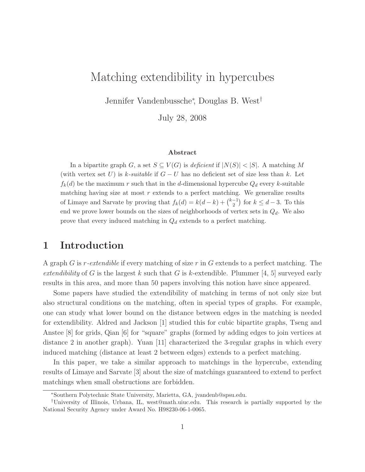# Matching extendibility in hypercubes

Jennifer Vandenbussche<sup>∗</sup> , Douglas B. West†

July 28, 2008

### Abstract

In a bipartite graph G, a set  $S \subseteq V(G)$  is deficient if  $|N(S)| < |S|$ . A matching M (with vertex set U) is k-suitable if  $G-U$  has no deficient set of size less than k. Let  $f_k(d)$  be the maximum r such that in the d-dimensional hypercube  $Q_d$  every k-suitable matching having size at most  $r$  extends to a perfect matching. We generalize results of Limaye and Sarvate by proving that  $f_k(d) = k(d-k) + \binom{k-1}{2}$  for  $k \leq d-3$ . To this end we prove lower bounds on the sizes of neighborhoods of vertex sets in  $Q_d$ . We also prove that every induced matching in  $Q_d$  extends to a perfect matching.

## 1 Introduction

A graph G is r-extendible if every matching of size r in G extends to a perfect matching. The extendibility of G is the largest k such that G is k-extendible. Plummer [4, 5] surveyed early results in this area, and more than 50 papers involving this notion have since appeared.

Some papers have studied the extendibility of matching in terms of not only size but also structural conditions on the matching, often in special types of graphs. For example, one can study what lower bound on the distance between edges in the matching is needed for extendibility. Aldred and Jackson [1] studied this for cubic bipartite graphs, Tseng and Anstee [8] for grids, Qian [6] for "square" graphs (formed by adding edges to join vertices at distance 2 in another graph). Yuan [11] characterized the 3-regular graphs in which every induced matching (distance at least 2 between edges) extends to a perfect matching.

In this paper, we take a similar approach to matchings in the hypercube, extending results of Limaye and Sarvate [3] about the size of matchings guaranteed to extend to perfect matchings when small obstructions are forbidden.

<sup>∗</sup>Southern Polytechnic State University, Marietta, GA, jvandenb@spsu.edu.

<sup>†</sup>University of Illinois, Urbana, IL, west@math.uiuc.edu. This research is partially supported by the National Security Agency under Award No. H98230-06-1-0065.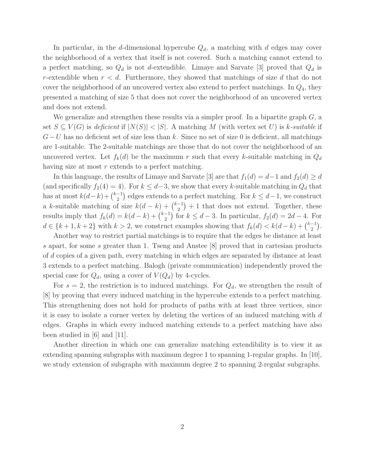In particular, in the d-dimensional hypercube  $Q_d$ , a matching with d edges may cover the neighborhood of a vertex that itself is not covered. Such a matching cannot extend to a perfect matching, so  $Q_d$  is not d-extendible. Limaye and Sarvate [3] proved that  $Q_d$  is r-extendible when  $r < d$ . Furthermore, they showed that matchings of size d that do not cover the neighborhood of an uncovered vertex also extend to perfect matchings. In  $Q_4$ , they presented a matching of size 5 that does not cover the neighborhood of an uncovered vertex and does not extend.

We generalize and strengthen these results via a simpler proof. In a bipartite graph  $G$ , a set  $S \subseteq V(G)$  is deficient if  $|N(S)| < |S|$ . A matching M (with vertex set U) is k-suitable if  $G-U$  has no deficient set of size less than k. Since no set of size 0 is deficient, all matchings are 1-suitable. The 2-suitable matchings are those that do not cover the neighborhood of an uncovered vertex. Let  $f_k(d)$  be the maximum r such that every k-suitable matching in  $Q_d$ having size at most r extends to a perfect matching.

In this language, the results of Limaye and Sarvate [3] are that  $f_1(d) = d-1$  and  $f_2(d) \geq d$ (and specifically  $f_2(4) = 4$ ). For  $k \leq d-3$ , we show that every k-suitable matching in  $Q_d$  that has at most  $k(d-k) + \binom{k-1}{2}$  $\binom{-1}{2}$  edges extends to a perfect matching. For  $k \leq d-1$ , we construct a k-suitable matching of size  $k(d-k) + \binom{k-1}{2}$  $\binom{-1}{2}+1$  that does not extend. Together, these results imply that  $f_k(d) = k(d-k) + \binom{k-1}{2}$  $\binom{1}{2}$  for  $k \le d-3$ . In particular,  $f_2(d) = 2d-4$ . For  $d \in \{k+1, k+2\}$  with  $k > 2$ , we construct examples showing that  $f_k(d) < k(d-k) + \binom{k-1}{2}$  $\binom{-1}{2}$ .

Another way to restrict partial matchings is to require that the edges be distance at least s apart, for some s greater than 1. Tseng and Anstee [8] proved that in cartesian products of d copies of a given path, every matching in which edges are separated by distance at least 3 extends to a perfect matching. Balogh (private communication) independently proved the special case for  $Q_d$ , using a cover of  $V(Q_d)$  by 4-cycles.

For  $s = 2$ , the restriction is to induced matchings. For  $Q_d$ , we strengthen the result of [8] by proving that every induced matching in the hypercube extends to a perfect matching. This strengthening does not hold for products of paths with at least three vertices, since it is easy to isolate a corner vertex by deleting the vertices of an induced matching with d edges. Graphs in which every induced matching extends to a perfect matching have also been studied in [6] and [11].

Another direction in which one can generalize matching extendibility is to view it as extending spanning subgraphs with maximum degree 1 to spanning 1-regular graphs. In [10], we study extension of subgraphs with maximum degree 2 to spanning 2-regular subgraphs.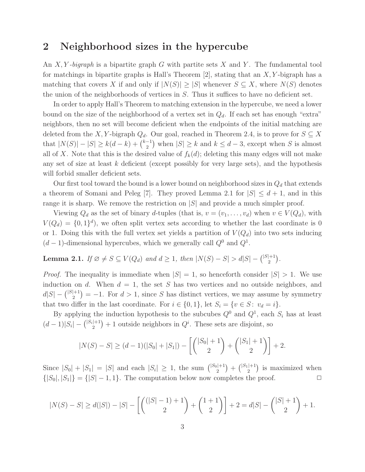## 2 Neighborhood sizes in the hypercube

An X, Y-bigraph is a bipartite graph G with partite sets X and Y. The fundamental tool for matchings in bipartite graphs is Hall's Theorem  $[2]$ , stating that an X, Y-bigraph has a matching that covers X if and only if  $|N(S)| \geq |S|$  whenever  $S \subseteq X$ , where  $N(S)$  denotes the union of the neighborhoods of vertices in S. Thus it suffices to have no deficient set.

In order to apply Hall's Theorem to matching extension in the hypercube, we need a lower bound on the size of the neighborhood of a vertex set in  $Q_d$ . If each set has enough "extra" neighbors, then no set will become deficient when the endpoints of the initial matching are deleted from the X, Y-bigraph  $Q_d$ . Our goal, reached in Theorem 2.4, is to prove for  $S \subseteq X$ that  $|N(S)| - |S| \geq k(d-k) + \binom{k-1}{2}$  $\binom{-1}{2}$  when  $|S| \geq k$  and  $k \leq d-3$ , except when S is almost all of X. Note that this is the desired value of  $f_k(d)$ ; deleting this many edges will not make any set of size at least  $k$  deficient (except possibly for very large sets), and the hypothesis will forbid smaller deficient sets.

Our first tool toward the bound is a lower bound on neighborhood sizes in  $Q_d$  that extends a theorem of Somani and Peleg [7]. They proved Lemma 2.1 for  $|S| \leq d+1$ , and in this range it is sharp. We remove the restriction on  $|S|$  and provide a much simpler proof.

Viewing  $Q_d$  as the set of binary d-tuples (that is,  $v = (v_1, \ldots, v_d)$  when  $v \in V(Q_d)$ , with  $V(Q_d) = \{0, 1\}^d$ , we often split vertex sets according to whether the last coordinate is 0 or 1. Doing this with the full vertex set yields a partition of  $V(Q_d)$  into two sets inducing  $(d-1)$ -dimensional hypercubes, which we generally call  $Q<sup>0</sup>$  and  $Q<sup>1</sup>$ .

#### **Lemma 2.1.** If  $\emptyset \neq S \subseteq V(Q_d)$  and  $d \geq 1$ , then  $|N(S) - S| > d|S| - { |S| + 1 \choose 2}$  $\binom{+1}{2}$ .

*Proof.* The inequality is immediate when  $|S| = 1$ , so henceforth consider  $|S| > 1$ . We use induction on d. When  $d = 1$ , the set S has two vertices and no outside neighbors, and  $d|S| - \binom{|S|+1}{2}$  $2^{(+1)}_{2}$  = -1. For  $d > 1$ , since S has distinct vertices, we may assume by symmetry that two differ in the last coordinate. For  $i \in \{0,1\}$ , let  $S_i = \{v \in S : v_d = i\}.$ 

By applying the induction hypothesis to the subcubes  $Q^0$  and  $Q^1$ , each  $S_i$  has at least  $(d-1)|S_i| - \binom{|S_i|+1}{2}$  $2^{(n+1)}$  + 1 outside neighbors in  $Q^i$ . These sets are disjoint, so

$$
|N(S) - S| \ge (d-1)(|S_0| + |S_1|) - \left[ \binom{|S_0| + 1}{2} + \binom{|S_1| + 1}{2} \right] + 2.
$$

Since  $|S_0| + |S_1| = |S|$  and each  $|S_i| \geq 1$ , the sum  $\binom{|S_0|+1}{2}$  $\binom{|+1|}{2} + \binom{|S_1|+1}{2}$  $\binom{+1}{2}$  is maximized when  $\{|S_0|, |S_1|\} = \{|S| - 1, 1\}.$  The computation below now completes the proof.  $\Box$ 

$$
|N(S) - S| \ge d(|S|) - |S| - \left[ \binom{(|S| - 1) + 1}{2} + \binom{1 + 1}{2} \right] + 2 = d|S| - \binom{|S| + 1}{2} + 1.
$$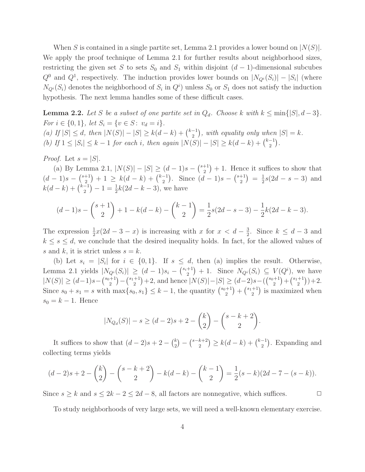When S is contained in a single partite set, Lemma 2.1 provides a lower bound on  $|N(S)|$ . We apply the proof technique of Lemma 2.1 for further results about neighborhood sizes, restricting the given set S to sets  $S_0$  and  $S_1$  within disjoint  $(d-1)$ -dimensional subcubes  $Q^0$  and  $Q^1$ , respectively. The induction provides lower bounds on  $|N_{Q_i}(S_i)| - |S_i|$  (where  $N_{Q_i}(S_i)$  denotes the neighborhood of  $S_i$  in  $Q_i$ <sup>i</sup>) unless  $S_0$  or  $S_1$  does not satisfy the induction hypothesis. The next lemma handles some of these difficult cases.

**Lemma 2.2.** Let S be a subset of one partite set in  $Q_d$ . Choose k with  $k \leq \min\{|S|, d-3\}$ . For  $i \in \{0,1\}$ , let  $S_i = \{v \in S : v_d = i\}$ . (a) If  $|S| \le d$ , then  $|N(S)| - |S| \ge k(d-k) + \binom{k-1}{2}$  $\binom{-1}{2}$ , with equality only when  $|S| = k$ . (b) If  $1 \leq |S_i| \leq k-1$  for each i, then again  $|N(S)| - |S| \geq k(d-k) + \binom{k-1}{2}$  $\begin{pmatrix} -1 \\ 2 \end{pmatrix}$ .

*Proof.* Let  $s = |S|$ .

(a) By Lemma 2.1,  $|N(S)| - |S| \ge (d-1)s - {s+1 \choose 2}$  $\binom{+1}{2}+1$ . Hence it suffices to show that  $(d-1)s-\binom{s+1}{2}$  $\binom{+1}{2}$  + 1  $\geq k(d-k) + \binom{k-1}{2}$  $\binom{-1}{2}$ . Since  $(d-1)s-\binom{s+1}{2}$  $\binom{+1}{2} = \frac{1}{2}$  $\frac{1}{2}s(2d - s - 3)$  and  $k(d-k) + \binom{k-1}{2}$  $\binom{-1}{2} - 1 = \frac{1}{2}k(2d - k - 3)$ , we have

$$
(d-1)s - {s+1 \choose 2} + 1 - k(d-k) - {k-1 \choose 2} = \frac{1}{2}s(2d-s-3) - \frac{1}{2}k(2d-k-3).
$$

The expression  $\frac{1}{2}x(2d-3-x)$  is increasing with x for  $x < d - \frac{3}{2}$  $\frac{3}{2}$ . Since  $k \leq d-3$  and  $k \leq s \leq d$ , we conclude that the desired inequality holds. In fact, for the allowed values of s and k, it is strict unless  $s = k$ .

(b) Let  $s_i = |S_i|$  for  $i \in \{0,1\}$ . If  $s \leq d$ , then (a) implies the result. Otherwise, Lemma 2.1 yields  $|N_{Q_i}(S_i)| \ge (d-1)s_i - {s_i+1 \choose 2}$  $\binom{+1}{2}+1$ . Since  $N_{Q_i}(S_i) \subseteq V(Q_i)$ , we have  $|N(S)| \geq (d-1)s - \binom{s_0+1}{2}$  $\binom{+1}{2} - \binom{s_1+1}{2}$ <sup>+1</sup>) +2, and hence  $|N(S)|-|S| \ge (d-2)s-({s_0+1 \choose 2}$  $\binom{+1}{2} + \binom{s_1+1}{2}$  $\binom{+1}{2}$  + 2. Since  $s_0 + s_1 = s$  with  $\max\{s_0, s_1\} \leq k - 1$ , the quantity  $\binom{s_0+1}{2}$  $\binom{+1}{2} + \binom{s_1+1}{2}$  $\binom{+1}{2}$  is maximized when  $s_0 = k - 1$ . Hence

$$
|N_{Q_d}(S)| - s \ge (d-2)s + 2 - {k \choose 2} - {s-k+2 \choose 2}.
$$

It suffices to show that  $(d-2)s + 2 - {k \choose 2}$  $\binom{k}{2} - \binom{s-k+2}{2}$  ${k+2 \choose 2} \geq k(d-k) + {k-1 \choose 2}$  $\binom{-1}{2}$ . Expanding and collecting terms yields

$$
(d-2)s + 2 - {k \choose 2} - {s-k+2 \choose 2} - k(d-k) - {k-1 \choose 2} = \frac{1}{2}(s-k)(2d-7-(s-k)).
$$

Since  $s \ge k$  and  $s \le 2k - 2 \le 2d - 8$ , all factors are nonnegative, which suffices.  $\Box$ 

To study neighborhoods of very large sets, we will need a well-known elementary exercise.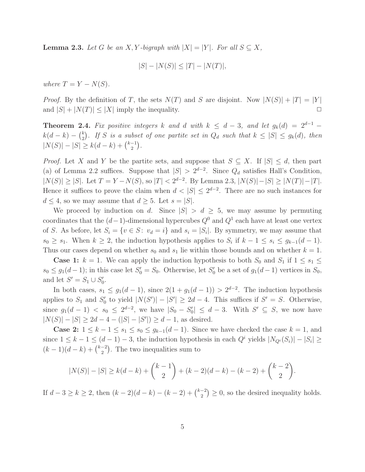**Lemma 2.3.** Let G be an X, Y-bigraph with  $|X| = |Y|$ . For all  $S \subseteq X$ ,

$$
|S| - |N(S)| \le |T| - |N(T)|,
$$

where  $T = Y - N(S)$ .

*Proof.* By the definition of T, the sets  $N(T)$  and S are disjoint. Now  $|N(S)| + |T| = |Y|$ and  $|S| + |N(T)| \leq |X|$  imply the inequality.

**Theorem 2.4.** Fix positive integers k and d with  $k \leq d-3$ , and let  $g_k(d) = 2^{d-1}$  $k(d-k) - {k \choose 2}$  $\binom{k}{2}$ . If S is a subset of one partite set in  $Q_d$  such that  $k \leq |S| \leq g_k(d)$ , then  $|N(S)| - |S| \geq k(d-k) + \binom{k-1}{2}$  $\binom{-1}{2}$ .

*Proof.* Let X and Y be the partite sets, and suppose that  $S \subseteq X$ . If  $|S| \le d$ , then part (a) of Lemma 2.2 suffices. Suppose that  $|S| > 2^{d-2}$ . Since  $Q_d$  satisfies Hall's Condition,  $|N(S)| \ge |S|$ . Let  $T = Y - N(S)$ , so  $|T| < 2^{d-2}$ . By Lemma 2.3,  $|N(S)| - |S| \ge |N(T)| - |T|$ . Hence it suffices to prove the claim when  $d < |S| \leq 2^{d-2}$ . There are no such instances for  $d \leq 4$ , so we may assume that  $d \geq 5$ . Let  $s = |S|$ .

We proceed by induction on d. Since  $|S| > d \geq 5$ , we may assume by permuting coordinates that the  $(d-1)$ -dimensional hypercubes  $Q^0$  and  $Q^1$  each have at least one vertex of S. As before, let  $S_i = \{v \in S: v_d = i\}$  and  $s_i = |S_i|$ . By symmetry, we may assume that  $s_0 \geq s_1$ . When  $k \geq 2$ , the induction hypothesis applies to  $S_i$  if  $k - 1 \leq s_i \leq g_{k-1}(d-1)$ . Thus our cases depend on whether  $s_0$  and  $s_1$  lie within those bounds and on whether  $k = 1$ .

**Case 1:**  $k = 1$ . We can apply the induction hypothesis to both  $S_0$  and  $S_1$  if  $1 \leq s_1 \leq s_2$  $s_0 \leq g_1(d-1)$ ; in this case let  $S'_0 = S_0$ . Otherwise, let  $S'_0$  be a set of  $g_1(d-1)$  vertices in  $S_0$ , and let  $S' = S_1 \cup S'_0$ .

In both cases,  $s_1 \leq g_1(d-1)$ , since  $2(1+g_1(d-1)) > 2^{d-2}$ . The induction hypothesis applies to  $S_1$  and  $S'_0$  to yield  $|N(S')| - |S'| \geq 2d - 4$ . This suffices if  $S' = S$ . Otherwise, since  $g_1(d-1) < s_0 \leq 2^{d-2}$ , we have  $|S_0 - S_0'| \leq d-3$ . With  $S' \subseteq S$ , we now have  $|N(S)| - |S| \ge 2d - 4 - (|S| - |S'|) \ge d - 1$ , as desired.

**Case 2:**  $1 \leq k - 1 \leq s_1 \leq s_0 \leq g_{k-1}(d-1)$ . Since we have checked the case  $k = 1$ , and since  $1 \leq k - 1 \leq (d - 1) - 3$ , the induction hypothesis in each  $Q^i$  yields  $|N_{Q^i}(S_i)| - |S_i| \geq$  $(k-1)(d-k) + \binom{k-2}{2}$  $\binom{-2}{2}$ . The two inequalities sum to

$$
|N(S)| - |S| \ge k(d-k) + {k-1 \choose 2} + (k-2)(d-k) - (k-2) + {k-2 \choose 2}.
$$

If  $d-3 \ge k \ge 2$ , then  $(k-2)(d-k) - (k-2) + \binom{k-2}{2}$  $\binom{-2}{2} \geq 0$ , so the desired inequality holds.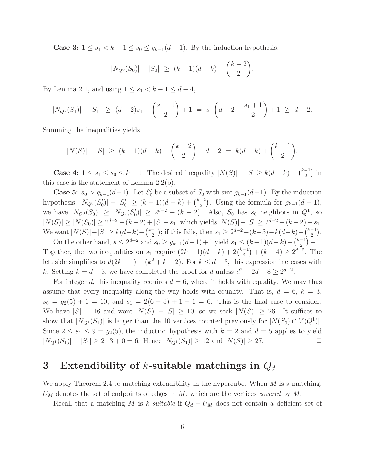**Case 3:**  $1 \leq s_1 < k - 1 \leq s_0 \leq g_{k-1}(d-1)$ . By the induction hypothesis,

$$
|N_{Q^0}(S_0)| - |S_0| \ge (k-1)(d-k) + {k-2 \choose 2}.
$$

By Lemma 2.1, and using  $1 \leq s_1 < k - 1 \leq d - 4$ ,

$$
|N_{Q^1}(S_1)|-|S_1| \ge (d-2)s_1 - {s_1+1 \choose 2} + 1 = s_1 \left(d-2-\frac{s_1+1}{2}\right)+1 \ge d-2.
$$

Summing the inequalities yields

$$
|N(S)| - |S| \ge (k-1)(d-k) + {k-2 \choose 2} + d - 2 = k(d-k) + {k-1 \choose 2}.
$$

**Case 4:**  $1 \le s_1 \le s_0 \le k-1$ . The desired inequality  $|N(S)| - |S| \ge k(d-k) + \binom{k-1}{2}$  $\binom{-1}{2}$  in this case is the statement of Lemma 2.2(b).

**Case 5:**  $s_0 > g_{k-1}(d-1)$ . Let  $S'_0$  be a subset of  $S_0$  with size  $g_{k-1}(d-1)$ . By the induction hypothesis,  $|N_{Q^0}(S'_0)| - |S'_0| \ge (k-1)(d-k) + \binom{k-2}{2}$  $\binom{-2}{2}$ . Using the formula for  $g_{k-1}(d-1)$ , we have  $|N_{Q^0}(S_0)| \geq |N_{Q^0}(S_0')| \geq 2^{d-2} - (k-2)$ . Also,  $S_0$  has  $s_0$  neighbors in  $Q^1$ , so  $|N(S)| \ge |N(S_0)| \ge 2^{d-2} - (k-2) + |S| - s_1$ , which yields  $|N(S)| - |S| \ge 2^{d-2} - (k-2) - s_1$ . We want  $|N(S)| - |S| \ge k(d-k) + \binom{k-1}{2}$  $\binom{-1}{2}$ ; if this fails, then  $s_1 \geq 2^{d-2} - (k-3) - k(d-k) - \binom{k-1}{2}$  $\binom{-1}{2}$ .

On the other hand,  $s \leq 2^{d-2}$  and  $s_0 \geq g_{k-1}(d-1)+1$  yield  $s_1 \leq (k-1)(d-k)+\binom{k-1}{2}$  $\binom{-1}{2} - 1.$ Together, the two inequalities on  $s_1$  require  $(2k-1)(d-k) + 2{k-1 \choose 2}$  $\binom{-1}{2} + (k-4) \geq 2^{d-2}$ . The left side simplifies to  $d(2k-1) - (k^2 + k + 2)$ . For  $k \leq d-3$ , this expression increases with k. Setting  $k = d - 3$ , we have completed the proof for d unless  $d^2 - 2d - 8 \geq 2^{d-2}$ .

For integer d, this inequality requires  $d = 6$ , where it holds with equality. We may thus assume that every inequality along the way holds with equality. That is,  $d = 6$ ,  $k = 3$ ,  $s_0 = g_2(5) + 1 = 10$ , and  $s_1 = 2(6 - 3) + 1 - 1 = 6$ . This is the final case to consider. We have  $|S| = 16$  and want  $|N(S)| - |S| \ge 10$ , so we seek  $|N(S)| \ge 26$ . It suffices to show that  $|N_{Q^1}(S_1)|$  is larger than the 10 vertices counted previously for  $|N(S_0) \cap V(Q^1)|$ . Since  $2 \leq s_1 \leq 9 = g_2(5)$ , the induction hypothesis with  $k = 2$  and  $d = 5$  applies to yield  $|N_{Q^1}(S_1)| - |S_1| \ge 2 \cdot 3 + 0 = 6$ . Hence  $|N_{Q^1}(S_1)| \ge 12$  and  $|N(S)| \ge 27$ .

## 3 Extendibility of k-suitable matchings in  $Q_d$

We apply Theorem 2.4 to matching extendibility in the hypercube. When  $M$  is a matching,  $U_M$  denotes the set of endpoints of edges in M, which are the vertices *covered* by M.

Recall that a matching M is k-suitable if  $Q_d - U_M$  does not contain a deficient set of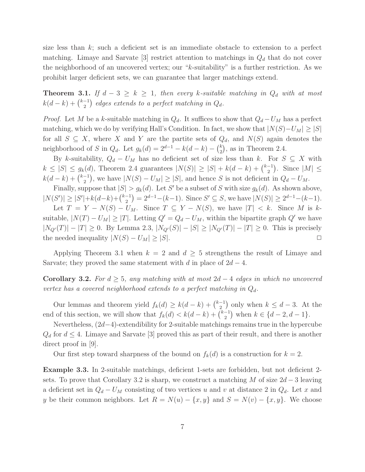size less than  $k$ ; such a deficient set is an immediate obstacle to extension to a perfect matching. Limaye and Sarvate [3] restrict attention to matchings in  $Q_d$  that do not cover the neighborhood of an uncovered vertex; our "k-suitability" is a further restriction. As we prohibit larger deficient sets, we can guarantee that larger matchings extend.

**Theorem 3.1.** If  $d - 3 \geq k \geq 1$ , then every k-suitable matching in  $Q_d$  with at most  $k(d-k) + \binom{k-1}{2}$  $\binom{-1}{2}$  edges extends to a perfect matching in  $Q_d$ .

*Proof.* Let M be a k-suitable matching in  $Q_d$ . It suffices to show that  $Q_d - U_M$  has a perfect matching, which we do by verifying Hall's Condition. In fact, we show that  $|N(S)-U_M| \geq |S|$ for all  $S \subseteq X$ , where X and Y are the partite sets of  $Q_d$ , and  $N(S)$  again denotes the neighborhood of S in  $Q_d$ . Let  $g_k(d) = 2^{d-1} - k(d-k) - {k \choose 2}$  $_{2}^{k}$ , as in Theorem 2.4.

By k-suitability,  $Q_d - U_M$  has no deficient set of size less than k. For  $S \subseteq X$  with  $k \leq |S| \leq g_k(d)$ , Theorem 2.4 guarantees  $|N(S)| \geq |S| + k(d-k) + \binom{k-1}{2}$  $\binom{-1}{2}$ . Since  $|M| \leq$  $k(d-k) + \binom{k-1}{2}$  $\binom{-1}{2}$ , we have  $|N(S) - U_M| \geq |S|$ , and hence S is not deficient in  $Q_d - U_M$ .

Finally, suppose that  $|S| > g_k(d)$ . Let S' be a subset of S with size  $g_k(d)$ . As shown above,  $|N(S')| \geq |S'| + k(d-k) + \binom{k-1}{2}$  $\binom{-1}{2} = 2^{d-1} - (k-1)$ . Since  $S' \subseteq S$ , we have  $|N(S)| \ge 2^{d-1} - (k-1)$ .

Let  $T = Y - N(S) - U_M$ . Since  $T \subseteq Y - N(S)$ , we have  $|T| < k$ . Since M is ksuitable,  $|N(T) - U_M| \geq |T|$ . Letting  $Q' = Q_d - U_M$ , within the bipartite graph  $Q'$  we have  $|N_{Q'}(T)| - |T| \ge 0$ . By Lemma 2.3,  $|N_{Q'}(S)| - |S| \ge |N_{Q'}(T)| - |T| \ge 0$ . This is precisely the needed inequality  $|N(S) - U_M| \geq |S|$ .

Applying Theorem 3.1 when  $k = 2$  and  $d \geq 5$  strengthens the result of Limaye and Sarvate; they proved the same statement with d in place of  $2d - 4$ .

**Corollary 3.2.** For  $d \geq 5$ , any matching with at most  $2d - 4$  edges in which no uncovered vertex has a covered neighborhood extends to a perfect matching in  $Q_d$ .

Our lemmas and theorem yield  $f_k(d) \geq k(d-k) + \binom{k-1}{2}$  $\binom{-1}{2}$  only when  $k \leq d-3$ . At the end of this section, we will show that  $f_k(d) < k(d-k) + \binom{k-1}{2}$  $\binom{-1}{2}$  when  $k \in \{d-2, d-1\}.$ 

Nevertheless, (2d−4)-extendibility for 2-suitable matchings remains true in the hypercube  $Q_d$  for  $d \leq 4$ . Limaye and Sarvate [3] proved this as part of their result, and there is another direct proof in [9].

Our first step toward sharpness of the bound on  $f_k(d)$  is a construction for  $k = 2$ .

Example 3.3. In 2-suitable matchings, deficient 1-sets are forbidden, but not deficient 2 sets. To prove that Corollary 3.2 is sharp, we construct a matching M of size  $2d-3$  leaving a deficient set in  $Q_d - U_M$  consisting of two vertices u and v at distance 2 in  $Q_d$ . Let x and y be their common neighbors. Let  $R = N(u) - \{x, y\}$  and  $S = N(v) - \{x, y\}$ . We choose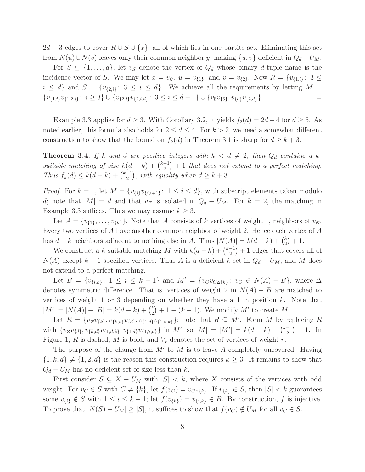$2d-3$  edges to cover  $R \cup S \cup \{x\}$ , all of which lies in one partite set. Eliminating this set from  $N(u) \cup N(v)$  leaves only their common neighbor y, making  $\{u, v\}$  deficient in  $Q_d - U_M$ .

For  $S \subseteq \{1, \ldots, d\}$ , let  $v_S$  denote the vertex of  $Q_d$  whose binary d-tuple name is the incidence vector of S. We may let  $x = v_{\emptyset}$ ,  $u = v_{\{1\}}$ , and  $v = v_{\{2\}}$ . Now  $R = \{v_{\{1,i\}}: 3 \leq$  $i \leq d$  and  $S = \{v_{\{2,i\}}: 3 \leq i \leq d\}$ . We achieve all the requirements by letting  $M =$  $\{v_{\{1,i\}}v_{\{1,2,i\}}: i \geq 3\} \cup \{v_{\{2,i\}}v_{\{2,i,d\}}: 3 \leq i \leq d-1\} \cup \{v_{\emptyset}v_{\{3\}}, v_{\{d\}}v_{\{2,d\}}\}.$ 

Example 3.3 applies for  $d \geq 3$ . With Corollary 3.2, it yields  $f_2(d) = 2d - 4$  for  $d \geq 5$ . As noted earlier, this formula also holds for  $2 \leq d \leq 4$ . For  $k > 2$ , we need a somewhat different construction to show that the bound on  $f_k(d)$  in Theorem 3.1 is sharp for  $d \geq k+3$ .

**Theorem 3.4.** If k and d are positive integers with  $k < d \neq 2$ , then  $Q_d$  contains a ksuitable matching of size  $k(d-k) + \binom{k-1}{2}$  $\binom{-1}{2}+1$  that does not extend to a perfect matching. Thus  $f_k(d) \leq k(d-k) + \binom{k-1}{2}$  $\binom{-1}{2}$ , with equality when  $d \geq k+3$ .

*Proof.* For  $k = 1$ , let  $M = \{v_{\{i\}}v_{\{i,i+1\}}: 1 \leq i \leq d\}$ , with subscript elements taken modulo d; note that  $|M| = d$  and that  $v_{\varnothing}$  is isolated in  $Q_d - U_M$ . For  $k = 2$ , the matching in Example 3.3 suffices. Thus we may assume  $k \geq 3$ .

Let  $A = \{v_{\{1\}}, \ldots, v_{\{k\}}\}.$  Note that A consists of k vertices of weight 1, neighbors of  $v_{\emptyset}$ . Every two vertices of A have another common neighbor of weight 2. Hence each vertex of A has  $d - k$  neighbors adjacent to nothing else in A. Thus  $|N(A)| = k(d - k) + {k \choose 2}$  $_{2}^{k})+1.$ 

We construct a k-suitable matching M with  $k(d-k) + \binom{k-1}{2}$  $\binom{-1}{2}+1$  edges that covers all of  $N(A)$  except k – 1 specified vertices. Thus A is a deficient k-set in  $Q_d - U_M$ , and M does not extend to a perfect matching.

Let  $B = \{v_{\{i,k\}}: 1 \le i \le k-1\}$  and  $M' = \{v_Cv_{C\Delta\{k\}}: v_C \in N(A) - B\}$ , where  $\Delta$ denotes symmetric difference. That is, vertices of weight 2 in  $N(A) - B$  are matched to vertices of weight 1 or 3 depending on whether they have a 1 in position  $k$ . Note that  $|M'| = |N(A)| - |B| = k(d-k) + {k \choose 2}$  $\binom{k}{2}+1-(k-1)$ . We modify M' to create M.

Let  $R = \{v_{\mathcal{D}}v_{\{k\}}, v_{\{k,d\}}v_{\{d\}}, v_{\{1,d\}}v_{\{1,d,k\}}\};$  note that  $R \subseteq M'$ . Form M by replacing R with  $\{v_{\varnothing}v_{\{d\}},v_{\{k,d\}}v_{\{1,d,k\}},v_{\{1,d\}}v_{\{1,2,d\}}\}$  in M', so  $|M| = |M'| = k(d-k) + \binom{k-1}{2}$  $\binom{-1}{2} + 1$ . In Figure 1, R is dashed, M is bold, and  $V_r$  denotes the set of vertices of weight r.

The purpose of the change from  $M'$  to  $M$  is to leave  $A$  completely uncovered. Having  ${1, k, d} \neq {1, 2, d}$  is the reason this construction requires  $k \geq 3$ . It remains to show that  $Q_d - U_M$  has no deficient set of size less than k.

First consider  $S \subseteq X - U_M$  with  $|S| < k$ , where X consists of the vertices with odd weight. For  $v_C \in S$  with  $C \neq \{k\}$ , let  $f(v_C) = v_{C \Delta \{k\}}$ . If  $v_{\{k\}} \in S$ , then  $|S| < k$  guarantees some  $v_{\{i\}} \notin S$  with  $1 \leq i \leq k-1$ ; let  $f(v_{\{k\}}) = v_{\{i,k\}} \in B$ . By construction, f is injective. To prove that  $|N(S) - U_M| \geq |S|$ , it suffices to show that  $f(v_C) \notin U_M$  for all  $v_C \in S$ .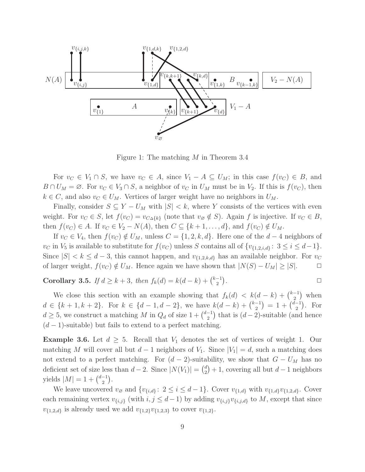

Figure 1: The matching M in Theorem 3.4

For  $v_C \in V_1 \cap S$ , we have  $v_C \in A$ , since  $V_1 - A \subseteq U_M$ ; in this case  $f(v_C) \in B$ , and  $B \cap U_M = \emptyset$ . For  $v_C \in V_3 \cap S$ , a neighbor of  $v_C$  in  $U_M$  must be in  $V_2$ . If this is  $f(v_C)$ , then  $k \in C$ , and also  $v_C \in U_M$ . Vertices of larger weight have no neighbors in  $U_M$ .

Finally, consider  $S \subseteq Y - U_M$  with  $|S| < k$ , where Y consists of the vertices with even weight. For  $v_C \in S$ , let  $f(v_C) = v_{C \Delta \{k\}}$  (note that  $v_{\emptyset} \notin S$ ). Again f is injective. If  $v_C \in B$ , then  $f(v_C) \in A$ . If  $v_C \in V_2 - N(A)$ , then  $C \subseteq \{k+1,\ldots,d\}$ , and  $f(v_C) \notin U_M$ .

If  $v_C \in V_4$ , then  $f(v_C) \notin U_M$ , unless  $C = \{1, 2, k, d\}$ . Here one of the  $d-4$  neighbors of  $v_C$  in  $V_5$  is available to substitute for  $f(v_C)$  unless S contains all of  $\{v_{\{1,2,i,d\}}: 3 \le i \le d-1\}.$ Since  $|S| < k \leq d-3$ , this cannot happen, and  $v_{\{1,2,k,d\}}$  has an available neighbor. For  $v_C$ of larger weight,  $f(v_C) \notin U_M$ . Hence again we have shown that  $|N(S) - U_M| \geq |S|$ .  $\Box$ 

Corollary 3.5. If  $d \ge k+3$ , then  $f_k(d) = k(d-k) + \binom{k-1}{2}$  $\binom{-1}{2}$ .  $\Box$ 

We close this section with an example showing that  $f_k(d) < k(d-k) + \binom{k-1}{2}$  $\binom{-1}{2}$  when  $d \in \{k+1, k+2\}$ . For  $k \in \{d-1, d-2\}$ , we have  $k(d-k) + \binom{k-1}{2}$  $\binom{-1}{2}$  = 1 +  $\binom{d-1}{2}$  $\binom{-1}{2}$ . For  $d \geq 5$ , we construct a matching M in  $Q_d$  of size  $1 + \binom{d-1}{2}$  $\binom{-1}{2}$  that is  $(d-2)$ -suitable (and hence  $(d-1)$ -suitable) but fails to extend to a perfect matching.

**Example 3.6.** Let  $d \geq 5$ . Recall that  $V_1$  denotes the set of vertices of weight 1. Our matching M will cover all but  $d-1$  neighbors of  $V_1$ . Since  $|V_1| = d$ , such a matching does not extend to a perfect matching. For  $(d-2)$ -suitability, we show that  $G - U_M$  has no deficient set of size less than  $d-2$ . Since  $|N(V_1)| = \binom{d}{2}$  $a_2^d$  + 1, covering all but  $d-1$  neighbors yields  $|M| = 1 + \binom{d-1}{2}$  $\binom{-1}{2}$ .

We leave uncovered  $v_{\emptyset}$  and  $\{v_{\{i,d\}}: 2 \leq i \leq d-1\}$ . Cover  $v_{\{1,d\}}$  with  $v_{\{1,d\}}v_{\{1,2,d\}}$ . Cover each remaining vertex  $v_{\{i,j\}}$  (with  $i,j \leq d-1$ ) by adding  $v_{\{i,j\}}v_{\{i,j,d\}}$  to M, except that since  $v_{\{1,2,d\}}$  is already used we add  $v_{\{1,2\}}v_{\{1,2,3\}}$  to cover  $v_{\{1,2\}}$ .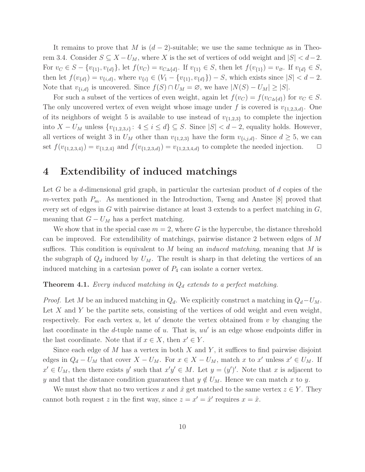It remains to prove that M is  $(d-2)$ -suitable; we use the same technique as in Theorem 3.4. Consider  $S \subseteq X - U_M$ , where X is the set of vertices of odd weight and  $|S| < d-2$ . For  $v_C \in S - \{v_{\{1\}}, v_{\{d\}}\}$ , let  $f(v_C) = v_{C \Delta \{d\}}$ . If  $v_{\{1\}} \in S$ , then let  $f(v_{\{1\}}) = v_{\emptyset}$ . If  $v_{\{d\}} \in S$ , then let  $f(v_{\{d\}}) = v_{\{i,d\}}$ , where  $v_{\{i\}} \in (V_1 - \{v_{\{1\}}, v_{\{d\}}\}) - S$ , which exists since  $|S| < d - 2$ . Note that  $v_{\{i,d\}}$  is uncovered. Since  $f(S) \cap U_M = \emptyset$ , we have  $|N(S) - U_M| \geq |S|$ .

For such a subset of the vertices of even weight, again let  $f(v_C) = f(v_{C \Delta \{d\}})$  for  $v_C \in S$ . The only uncovered vertex of even weight whose image under f is covered is  $v_{\{1,2,3,d\}}$ . One of its neighbors of weight 5 is available to use instead of  $v_{\{1,2,3\}}$  to complete the injection into  $X - U_M$  unless  $\{v_{\{1,2,3,i\}}: 4 \le i \le d\} \subseteq S$ . Since  $|S| < d-2$ , equality holds. However, all vertices of weight 3 in  $U_M$  other than  $v_{\{1,2,3\}}$  have the form  $v_{\{i,j,d\}}$ . Since  $d \geq 5$ , we can set  $f(v_{\{1,2,3,4\}}) = v_{\{1,2,4\}}$  and  $f(v_{\{1,2,3,4\}}) = v_{\{1,2,3,4,4\}}$  to complete the needed injection.  $\Box$ 

## 4 Extendibility of induced matchings

Let G be a d-dimensional grid graph, in particular the cartesian product of  $d$  copies of the m-vertex path  $P_m$ . As mentioned in the Introduction, Tseng and Anstee [8] proved that every set of edges in G with pairwise distance at least 3 extends to a perfect matching in G, meaning that  $G - U_M$  has a perfect matching.

We show that in the special case  $m = 2$ , where G is the hypercube, the distance threshold can be improved. For extendibility of matchings, pairwise distance 2 between edges of M suffices. This condition is equivalent to M being an *induced matching*, meaning that M is the subgraph of  $Q_d$  induced by  $U_M$ . The result is sharp in that deleting the vertices of an induced matching in a cartesian power of  $P_4$  can isolate a corner vertex.

### **Theorem 4.1.** Every induced matching in  $Q_d$  extends to a perfect matching.

*Proof.* Let M be an induced matching in  $Q_d$ . We explicitly construct a matching in  $Q_d-U_M$ . Let X and Y be the partite sets, consisting of the vertices of odd weight and even weight, respectively. For each vertex  $u$ , let  $u'$  denote the vertex obtained from  $v$  by changing the last coordinate in the d-tuple name of u. That is,  $uu'$  is an edge whose endpoints differ in the last coordinate. Note that if  $x \in X$ , then  $x' \in Y$ .

Since each edge of  $M$  has a vertex in both  $X$  and  $Y$ , it suffices to find pairwise disjoint edges in  $Q_d - U_M$  that cover  $X - U_M$ . For  $x \in X - U_M$ , match x to x' unless  $x' \in U_M$ . If  $x' \in U_M$ , then there exists y' such that  $x'y' \in M$ . Let  $y = (y')'$ . Note that x is adjacent to y and that the distance condition guarantees that  $y \notin U_M$ . Hence we can match x to y.

We must show that no two vertices x and  $\hat{x}$  get matched to the same vertex  $z \in Y$ . They cannot both request z in the first way, since  $z = x' = \hat{x}'$  requires  $x = \hat{x}$ .